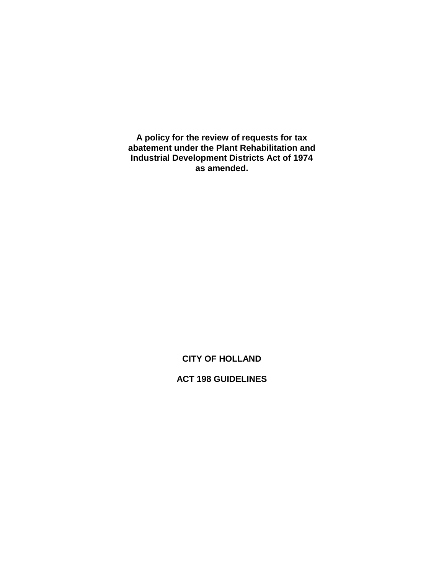**A policy for the review of requests for tax abatement under the Plant Rehabilitation and Industrial Development Districts Act of 1974 as amended.**

# **CITY OF HOLLAND**

# **ACT 198 GUIDELINES**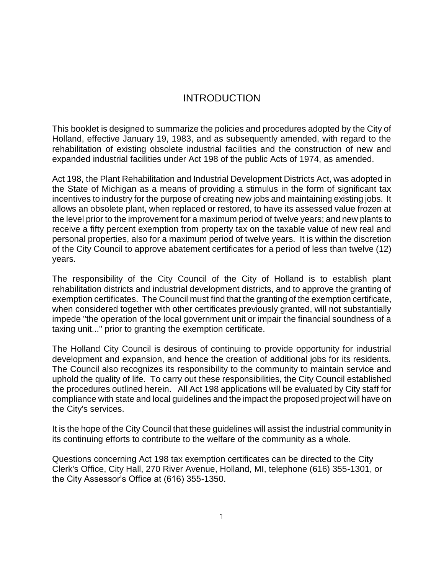## INTRODUCTION

This booklet is designed to summarize the policies and procedures adopted by the City of Holland, effective January 19, 1983, and as subsequently amended, with regard to the rehabilitation of existing obsolete industrial facilities and the construction of new and expanded industrial facilities under Act 198 of the public Acts of 1974, as amended.

Act 198, the Plant Rehabilitation and Industrial Development Districts Act, was adopted in the State of Michigan as a means of providing a stimulus in the form of significant tax incentives to industry for the purpose of creating new jobs and maintaining existing jobs. It allows an obsolete plant, when replaced or restored, to have its assessed value frozen at the level prior to the improvement for a maximum period of twelve years; and new plants to receive a fifty percent exemption from property tax on the taxable value of new real and personal properties, also for a maximum period of twelve years. It is within the discretion of the City Council to approve abatement certificates for a period of less than twelve (12) years.

The responsibility of the City Council of the City of Holland is to establish plant rehabilitation districts and industrial development districts, and to approve the granting of exemption certificates. The Council must find that the granting of the exemption certificate, when considered together with other certificates previously granted, will not substantially impede "the operation of the local government unit or impair the financial soundness of a taxing unit..." prior to granting the exemption certificate.

The Holland City Council is desirous of continuing to provide opportunity for industrial development and expansion, and hence the creation of additional jobs for its residents. The Council also recognizes its responsibility to the community to maintain service and uphold the quality of life. To carry out these responsibilities, the City Council established the procedures outlined herein. All Act 198 applications will be evaluated by City staff for compliance with state and local guidelines and the impact the proposed project will have on the City's services.

It is the hope of the City Council that these guidelines will assist the industrial community in its continuing efforts to contribute to the welfare of the community as a whole.

Questions concerning Act 198 tax exemption certificates can be directed to the City Clerk's Office, City Hall, 270 River Avenue, Holland, MI, telephone (616) 355-1301, or the City Assessor's Office at (616) 355-1350.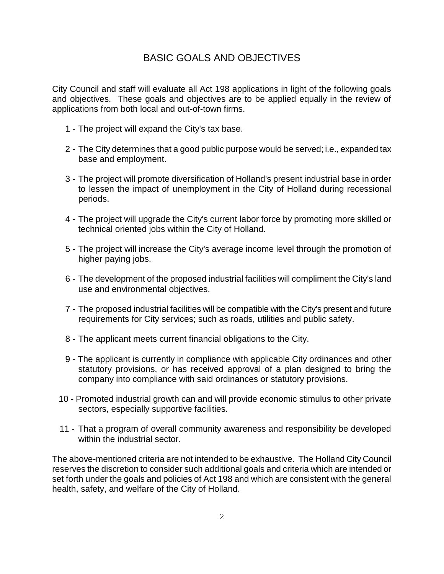# BASIC GOALS AND OBJECTIVES

City Council and staff will evaluate all Act 198 applications in light of the following goals and objectives. These goals and objectives are to be applied equally in the review of applications from both local and out-of-town firms.

- 1 The project will expand the City's tax base.
- 2 The City determines that a good public purpose would be served; i.e., expanded tax base and employment.
- 3 The project will promote diversification of Holland's present industrial base in order to lessen the impact of unemployment in the City of Holland during recessional periods.
- 4 The project will upgrade the City's current labor force by promoting more skilled or technical oriented jobs within the City of Holland.
- 5 The project will increase the City's average income level through the promotion of higher paying jobs.
- 6 The development of the proposed industrial facilities will compliment the City's land use and environmental objectives.
- 7 The proposed industrial facilities will be compatible with the City's present and future requirements for City services; such as roads, utilities and public safety.
- 8 The applicant meets current financial obligations to the City.
- 9 The applicant is currently in compliance with applicable City ordinances and other statutory provisions, or has received approval of a plan designed to bring the company into compliance with said ordinances or statutory provisions.
- 10 Promoted industrial growth can and will provide economic stimulus to other private sectors, especially supportive facilities.
- 11 That a program of overall community awareness and responsibility be developed within the industrial sector.

The above-mentioned criteria are not intended to be exhaustive. The Holland City Council reserves the discretion to consider such additional goals and criteria which are intended or set forth under the goals and policies of Act 198 and which are consistent with the general health, safety, and welfare of the City of Holland.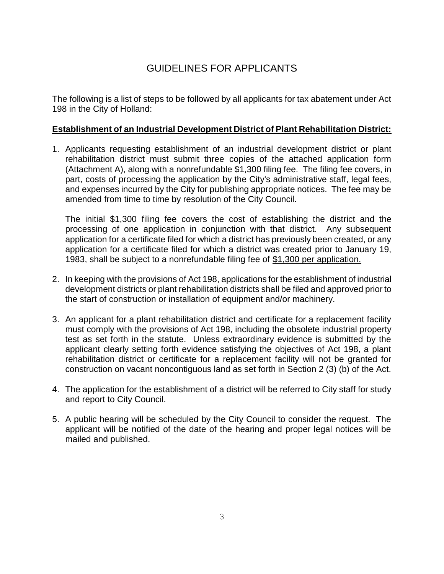# GUIDELINES FOR APPLICANTS

The following is a list of steps to be followed by all applicants for tax abatement under Act 198 in the City of Holland:

## **Establishment of an Industrial Development District of Plant Rehabilitation District:**

1. Applicants requesting establishment of an industrial development district or plant rehabilitation district must submit three copies of the attached application form (Attachment A), along with a nonrefundable \$1,300 filing fee. The filing fee covers, in part, costs of processing the application by the City's administrative staff, legal fees, and expenses incurred by the City for publishing appropriate notices. The fee may be amended from time to time by resolution of the City Council.

The initial \$1,300 filing fee covers the cost of establishing the district and the processing of one application in conjunction with that district. Any subsequent application for a certificate filed for which a district has previously been created, or any application for a certificate filed for which a district was created prior to January 19, 1983, shall be subject to a nonrefundable filing fee of \$1,300 per application.

- 2. In keeping with the provisions of Act 198, applications for the establishment of industrial development districts or plant rehabilitation districts shall be filed and approved prior to the start of construction or installation of equipment and/or machinery.
- 3. An applicant for a plant rehabilitation district and certificate for a replacement facility must comply with the provisions of Act 198, including the obsolete industrial property test as set forth in the statute. Unless extraordinary evidence is submitted by the applicant clearly setting forth evidence satisfying the objectives of Act 198, a plant rehabilitation district or certificate for a replacement facility will not be granted for construction on vacant noncontiguous land as set forth in Section 2 (3) (b) of the Act.
- 4. The application for the establishment of a district will be referred to City staff for study and report to City Council.
- 5. A public hearing will be scheduled by the City Council to consider the request. The applicant will be notified of the date of the hearing and proper legal notices will be mailed and published.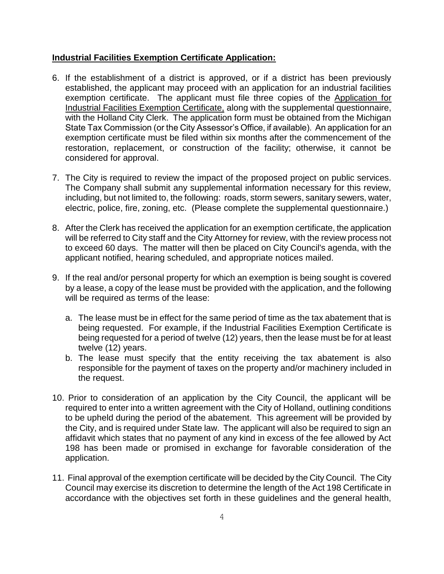## **Industrial Facilities Exemption Certificate Application:**

- 6. If the establishment of a district is approved, or if a district has been previously established, the applicant may proceed with an application for an industrial facilities exemption certificate. The applicant must file three copies of the Application for Industrial Facilities Exemption Certificate, along with the supplemental questionnaire, with the Holland City Clerk. The application form must be obtained from the Michigan State Tax Commission (or the City Assessor's Office, if available). An application for an exemption certificate must be filed within six months after the commencement of the restoration, replacement, or construction of the facility; otherwise, it cannot be considered for approval.
- 7. The City is required to review the impact of the proposed project on public services. The Company shall submit any supplemental information necessary for this review, including, but not limited to, the following: roads, storm sewers, sanitary sewers, water, electric, police, fire, zoning, etc. (Please complete the supplemental questionnaire.)
- 8. After the Clerk has received the application for an exemption certificate, the application will be referred to City staff and the City Attorney for review, with the review process not to exceed 60 days. The matter will then be placed on City Council's agenda, with the applicant notified, hearing scheduled, and appropriate notices mailed.
- 9. If the real and/or personal property for which an exemption is being sought is covered by a lease, a copy of the lease must be provided with the application, and the following will be required as terms of the lease:
	- a. The lease must be in effect for the same period of time as the tax abatement that is being requested. For example, if the Industrial Facilities Exemption Certificate is being requested for a period of twelve (12) years, then the lease must be for at least twelve (12) years.
	- b. The lease must specify that the entity receiving the tax abatement is also responsible for the payment of taxes on the property and/or machinery included in the request.
- 10. Prior to consideration of an application by the City Council, the applicant will be required to enter into a written agreement with the City of Holland, outlining conditions to be upheld during the period of the abatement. This agreement will be provided by the City, and is required under State law. The applicant will also be required to sign an affidavit which states that no payment of any kind in excess of the fee allowed by Act 198 has been made or promised in exchange for favorable consideration of the application.
- 11. Final approval of the exemption certificate will be decided by the City Council. The City Council may exercise its discretion to determine the length of the Act 198 Certificate in accordance with the objectives set forth in these guidelines and the general health,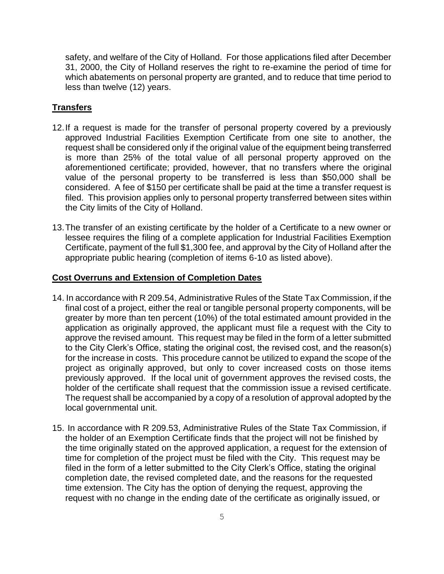safety, and welfare of the City of Holland. For those applications filed after December 31, 2000, the City of Holland reserves the right to re-examine the period of time for which abatements on personal property are granted, and to reduce that time period to less than twelve (12) years.

## **Transfers**

- 12.If a request is made for the transfer of personal property covered by a previously approved Industrial Facilities Exemption Certificate from one site to another, the request shall be considered only if the original value of the equipment being transferred is more than 25% of the total value of all personal property approved on the aforementioned certificate; provided, however, that no transfers where the original value of the personal property to be transferred is less than \$50,000 shall be considered. A fee of \$150 per certificate shall be paid at the time a transfer request is filed. This provision applies only to personal property transferred between sites within the City limits of the City of Holland.
- 13.The transfer of an existing certificate by the holder of a Certificate to a new owner or lessee requires the filing of a complete application for Industrial Facilities Exemption Certificate, payment of the full \$1,300 fee, and approval by the City of Holland after the appropriate public hearing (completion of items 6-10 as listed above).

#### **Cost Overruns and Extension of Completion Dates**

- 14. In accordance with R 209.54, Administrative Rules of the State Tax Commission, if the final cost of a project, either the real or tangible personal property components, will be greater by more than ten percent (10%) of the total estimated amount provided in the application as originally approved, the applicant must file a request with the City to approve the revised amount. This request may be filed in the form of a letter submitted to the City Clerk's Office, stating the original cost, the revised cost, and the reason(s) for the increase in costs. This procedure cannot be utilized to expand the scope of the project as originally approved, but only to cover increased costs on those items previously approved. If the local unit of government approves the revised costs, the holder of the certificate shall request that the commission issue a revised certificate. The request shall be accompanied by a copy of a resolution of approval adopted by the local governmental unit.
- 15. In accordance with R 209.53, Administrative Rules of the State Tax Commission, if the holder of an Exemption Certificate finds that the project will not be finished by the time originally stated on the approved application, a request for the extension of time for completion of the project must be filed with the City. This request may be filed in the form of a letter submitted to the City Clerk's Office, stating the original completion date, the revised completed date, and the reasons for the requested time extension. The City has the option of denying the request, approving the request with no change in the ending date of the certificate as originally issued, or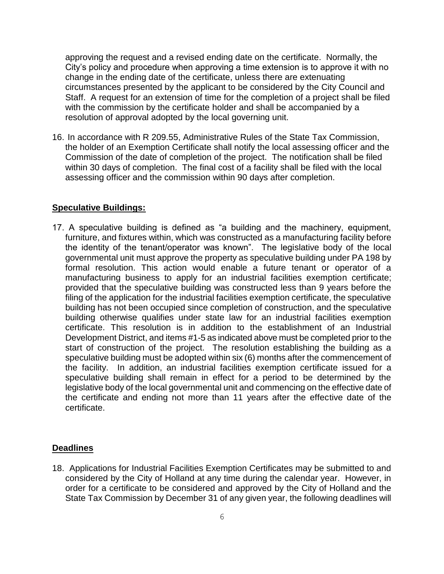approving the request and a revised ending date on the certificate. Normally, the City's policy and procedure when approving a time extension is to approve it with no change in the ending date of the certificate, unless there are extenuating circumstances presented by the applicant to be considered by the City Council and Staff. A request for an extension of time for the completion of a project shall be filed with the commission by the certificate holder and shall be accompanied by a resolution of approval adopted by the local governing unit.

16. In accordance with R 209.55, Administrative Rules of the State Tax Commission, the holder of an Exemption Certificate shall notify the local assessing officer and the Commission of the date of completion of the project. The notification shall be filed within 30 days of completion. The final cost of a facility shall be filed with the local assessing officer and the commission within 90 days after completion.

#### **Speculative Buildings:**

17. A speculative building is defined as "a building and the machinery, equipment, furniture, and fixtures within, which was constructed as a manufacturing facility before the identity of the tenant/operator was known". The legislative body of the local governmental unit must approve the property as speculative building under PA 198 by formal resolution. This action would enable a future tenant or operator of a manufacturing business to apply for an industrial facilities exemption certificate; provided that the speculative building was constructed less than 9 years before the filing of the application for the industrial facilities exemption certificate, the speculative building has not been occupied since completion of construction, and the speculative building otherwise qualifies under state law for an industrial facilities exemption certificate. This resolution is in addition to the establishment of an Industrial Development District, and items #1-5 as indicated above must be completed prior to the start of construction of the project. The resolution establishing the building as a speculative building must be adopted within six (6) months after the commencement of the facility. In addition, an industrial facilities exemption certificate issued for a speculative building shall remain in effect for a period to be determined by the legislative body of the local governmental unit and commencing on the effective date of the certificate and ending not more than 11 years after the effective date of the certificate.

#### **Deadlines**

18. Applications for Industrial Facilities Exemption Certificates may be submitted to and considered by the City of Holland at any time during the calendar year. However, in order for a certificate to be considered and approved by the City of Holland and the State Tax Commission by December 31 of any given year, the following deadlines will